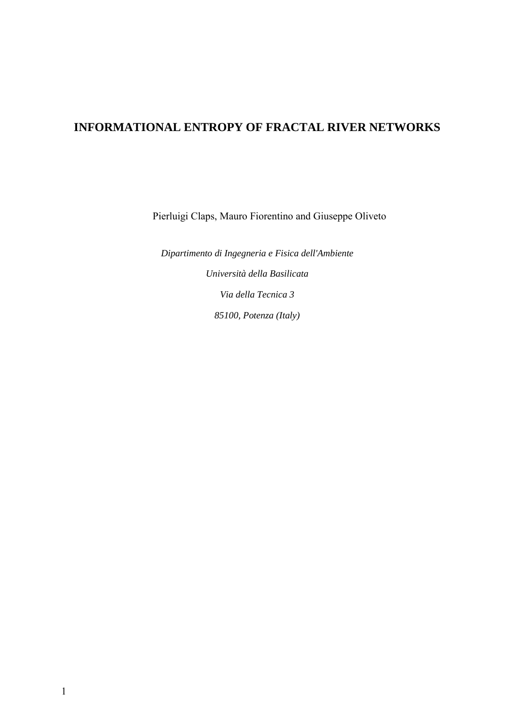# **INFORMATIONAL ENTROPY OF FRACTAL RIVER NETWORKS**

Pierluigi Claps, Mauro Fiorentino and Giuseppe Oliveto

*Dipartimento di Ingegneria e Fisica dell'Ambiente Università della Basilicata Via della Tecnica 3 85100, Potenza (Italy)*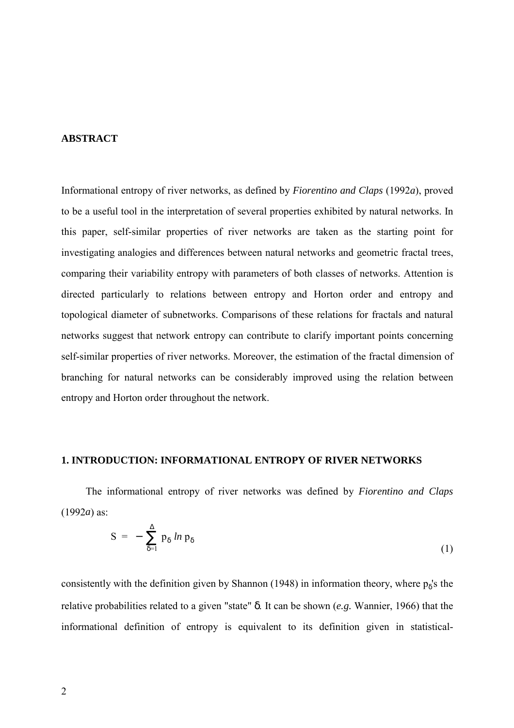# **ABSTRACT**

Informational entropy of river networks, as defined by *Fiorentino and Claps* (1992*a*), proved to be a useful tool in the interpretation of several properties exhibited by natural networks. In this paper, self-similar properties of river networks are taken as the starting point for investigating analogies and differences between natural networks and geometric fractal trees, comparing their variability entropy with parameters of both classes of networks. Attention is directed particularly to relations between entropy and Horton order and entropy and topological diameter of subnetworks. Comparisons of these relations for fractals and natural networks suggest that network entropy can contribute to clarify important points concerning self-similar properties of river networks. Moreover, the estimation of the fractal dimension of branching for natural networks can be considerably improved using the relation between entropy and Horton order throughout the network.

## **1. INTRODUCTION: INFORMATIONAL ENTROPY OF RIVER NETWORKS**

The informational entropy of river networks was defined by *Fiorentino and Claps* (1992*a*) as:

$$
S = - \sum_{\delta=1}^{\Delta} p_{\delta} \ln p_{\delta} \tag{1}
$$

consistently with the definition given by Shannon (1948) in information theory, where  $p_8$ 's the relative probabilities related to a given "state" δ. It can be shown (*e.g.* Wannier, 1966) that the informational definition of entropy is equivalent to its definition given in statistical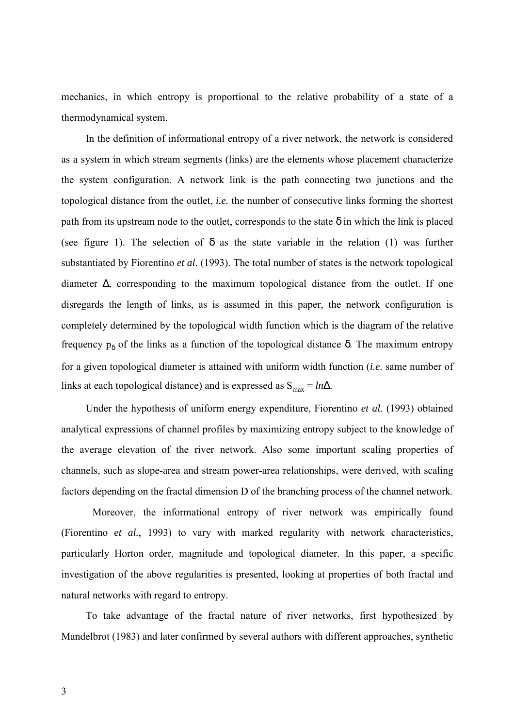mechanics, in which entropy is proportional to the relative probability of a state of a thermodynamical system.

In the definition of informational entropy of a river network, the network is considered as a system in which stream segments (links) are the elements whose placement characterize the system configuration. A network link is the path connecting two junctions and the topological distance from the outlet, *i.e.* the number of consecutive links forming the shortest path from its upstream node to the outlet, corresponds to the state  $\delta$  in which the link is placed (see figure 1). The selection of  $\delta$  as the state variable in the relation (1) was further substantiated by Fiorentino *et al*. (1993). The total number of states is the network topological diameter ∆, corresponding to the maximum topological distance from the outlet. If one disregards the length of links, as is assumed in this paper, the network configuration is completely determined by the topological width function which is the diagram of the relative frequency  $p_δ$  of the links as a function of the topological distance δ. The maximum entropy for a given topological diameter is attained with uniform width function (*i.e.* same number of links at each topological distance) and is expressed as  $S_{\text{max}} = ln\Delta$ .

Under the hypothesis of uniform energy expenditure, Fiorentino *et al.* (1993) obtained analytical expressions of channel profiles by maximizing entropy subject to the knowledge of the average elevation of the river network. Also some important scaling properties of channels, such as slope-area and stream power-area relationships, were derived, with scaling factors depending on the fractal dimension D of the branching process of the channel network.

Moreover, the informational entropy of river network was empirically found (Fiorentino *et al.*, 1993) to vary with marked regularity with network characteristics, particularly Horton order, magnitude and topological diameter. In this paper, a specific investigation of the above regularities is presented, looking at properties of both fractal and natural networks with regard to entropy.

To take advantage of the fractal nature of river networks, first hypothesized by Mandelbrot (1983) and later confirmed by several authors with different approaches, synthetic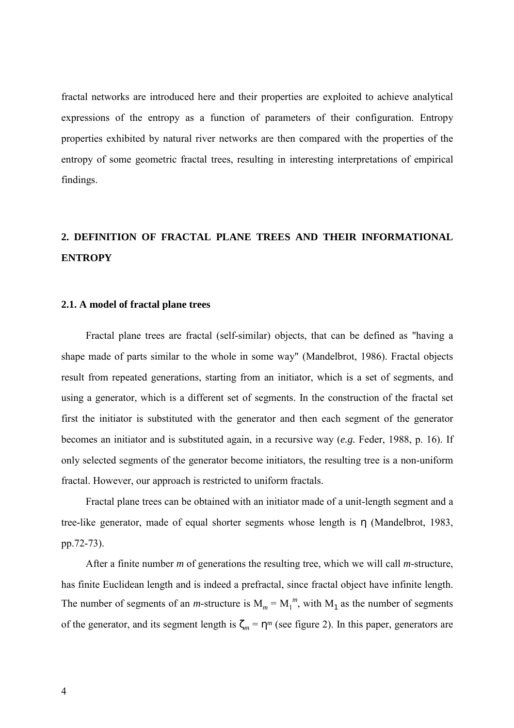fractal networks are introduced here and their properties are exploited to achieve analytical expressions of the entropy as a function of parameters of their configuration. Entropy properties exhibited by natural river networks are then compared with the properties of the entropy of some geometric fractal trees, resulting in interesting interpretations of empirical findings.

# **2. DEFINITION OF FRACTAL PLANE TREES AND THEIR INFORMATIONAL ENTROPY**

### **2.1. A model of fractal plane trees**

Fractal plane trees are fractal (self-similar) objects, that can be defined as "having a shape made of parts similar to the whole in some way" (Mandelbrot, 1986). Fractal objects result from repeated generations, starting from an initiator, which is a set of segments, and using a generator, which is a different set of segments. In the construction of the fractal set first the initiator is substituted with the generator and then each segment of the generator becomes an initiator and is substituted again, in a recursive way (*e.g.* Feder, 1988, p. 16). If only selected segments of the generator become initiators, the resulting tree is a non-uniform fractal. However, our approach is restricted to uniform fractals.

Fractal plane trees can be obtained with an initiator made of a unit-length segment and a tree-like generator, made of equal shorter segments whose length is η (Mandelbrot, 1983, pp.72-73).

After a finite number *m* of generations the resulting tree, which we will call *m*-structure, has finite Euclidean length and is indeed a prefractal, since fractal object have infinite length. The number of segments of an *m*-structure is  $M_m = M_1^m$ , with  $M_1$  as the number of segments of the generator, and its segment length is  $\zeta_m = \eta^m$  (see figure 2). In this paper, generators are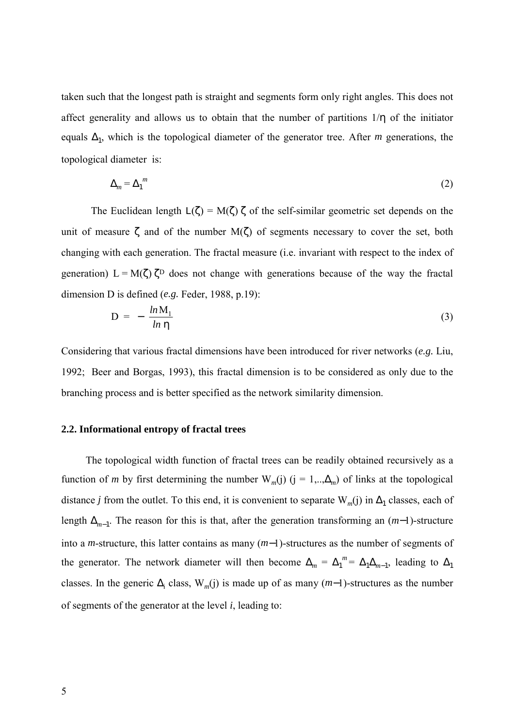taken such that the longest path is straight and segments form only right angles. This does not affect generality and allows us to obtain that the number of partitions  $1/\eta$  of the initiator equals  $\Delta_1$ , which is the topological diameter of the generator tree. After *m* generations, the topological diameter is:

$$
\Delta_m = \Delta_1^m \tag{2}
$$

The Euclidean length  $L(\zeta) = M(\zeta) \zeta$  of the self-similar geometric set depends on the unit of measure  $\zeta$  and of the number  $M(\zeta)$  of segments necessary to cover the set, both changing with each generation. The fractal measure (i.e. invariant with respect to the index of generation)  $L = M(\zeta) \zeta^D$  does not change with generations because of the way the fractal dimension D is defined (*e.g.* Feder, 1988, p.19):

$$
D = -\frac{\ln M_1}{\ln \eta} \tag{3}
$$

Considering that various fractal dimensions have been introduced for river networks (*e.g.* Liu, 1992; Beer and Borgas, 1993), this fractal dimension is to be considered as only due to the branching process and is better specified as the network similarity dimension.

#### **2.2. Informational entropy of fractal trees**

The topological width function of fractal trees can be readily obtained recursively as a function of *m* by first determining the number W<sub>*m*</sub>(j) (j = 1,.., $\Delta_m$ ) of links at the topological distance *j* from the outlet. To this end, it is convenient to separate  $W_m(j)$  in  $\Delta_1$  classes, each of length ∆*<sup>m</sup>*−1. The reason for this is that, after the generation transforming an (*m*−1)-structure into a *m*-structure, this latter contains as many (*m*−1)-structures as the number of segments of the generator. The network diameter will then become  $\Delta_m = \Delta_1^m = \Delta_1 \Delta_{m-1}$ , leading to  $\Delta_1$ classes. In the generic  $\Delta_i$  class, W<sub>*m*</sub>(j) is made up of as many (*m*−1)-structures as the number of segments of the generator at the level *i*, leading to: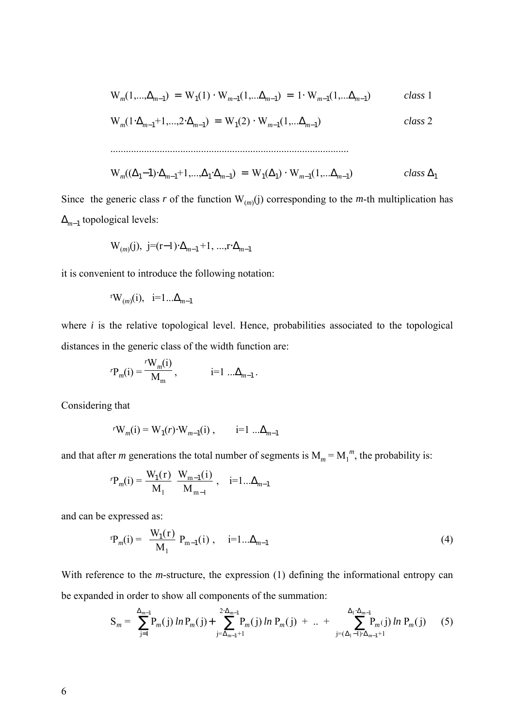$$
W_m(1,..., \Delta_{m-1}) = W_1(1) \cdot W_{m-1}(1,... \Delta_{m-1}) = 1 \cdot W_{m-1}(1,... \Delta_{m-1})
$$
 class 1

$$
W_m(1 \cdot \Delta_{m-1} + 1, \dots, 2 \cdot \Delta_{m-1}) = W_1(2) \cdot W_{m-1}(1, \dots \Delta_{m-1})
$$
 class 2

$$
W_m((\Delta_1 - 1) \cdot \Delta_{m-1} + 1, ..., \Delta_1 \cdot \Delta_{m-1}) = W_1(\Delta_1) \cdot W_{m-1}(1, ..., \Delta_{m-1})
$$
 class  $\Delta_1$ 

Since the generic class *r* of the function  $W_{(m)}(j)$  corresponding to the *m*-th multiplication has ∆*<sup>m</sup>*−1 topological levels:

............................................................................................

$$
W_{(m)}(j), j=(r-1)\cdot\Delta_{m-1}+1, ..., r\cdot\Delta_{m-1}
$$

it is convenient to introduce the following notation:

$$
\mathbf{r} \mathbf{W}_{(m)}(i), \quad i=1... \Delta_{m-1}
$$

where  $i$  is the relative topological level. Hence, probabilities associated to the topological distances in the generic class of the width function are:

$$
{}^{r}P_{m}(i) = \frac{{}^{r}W_{m}(i)}{M_{m}}, \qquad i=1 \ldots \Delta_{m-1}.
$$

Considering that

$$
{}^{r}W_{m}(i) = W_{1}(r) \cdot W_{m-1}(i) , \qquad i=1 \dots \Delta_{m-1}
$$

and that after *m* generations the total number of segments is  $M_m = M_1^m$ , the probability is:

$$
{}^{r}P_{m}(i) = \frac{W_{1}(r)}{M_{1}} \frac{W_{m-1}(i)}{M_{m-1}}, \quad i=1... \Delta_{m-1}
$$

and can be expressed as:

$$
rP_m(i) = \frac{W_1(r)}{M_1} P_{m-1}(i) , \quad i=1... \Delta_{m-1}
$$
 (4)

With reference to the *m*-structure, the expression (1) defining the informational entropy can be expanded in order to show all components of the summation:

$$
S_m = \sum_{j=1}^{\Delta_{m-1}} P_m(j) \ln P_m(j) + \sum_{j=\Delta_{m-1}+1}^{2 \cdot \Delta_{m-1}} P_m(j) \ln P_m(j) + ... + \sum_{j=(\Delta_1-1) \cdot \Delta_{m-1}+1}^{\Delta_1 \cdot \Delta_{m-1}} P_m(j) \ln P_m(j)
$$
 (5)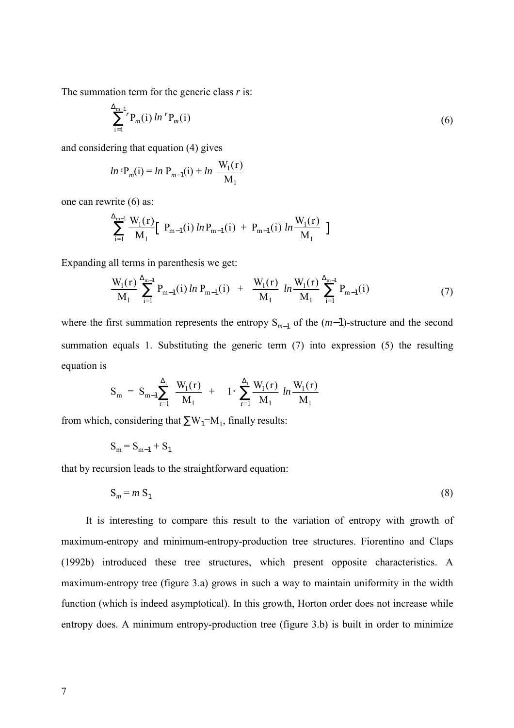The summation term for the generic class *r* is:

$$
\sum_{i=1}^{\Delta_{m-1}} {}^{r}P_{m}(i) \ln {}^{r}P_{m}(i) \tag{6}
$$

and considering that equation (4) gives

$$
ln \, {}^{r}P_{m}(i) = ln \, P_{m-1}(i) + ln \, \frac{W_{1}(r)}{M_{1}}
$$

one can rewrite (6) as:

$$
\sum_{i=1}^{\Delta_{m-1}} \frac{W_1(r)}{M_1} \left[ P_{m-1}(i) \ln P_{m-1}(i) + P_{m-1}(i) \ln \frac{W_1(r)}{M_1} \right]
$$

Expanding all terms in parenthesis we get:

$$
\frac{W_1(r)}{M_1} \sum_{i=1}^{\Delta_{m-1}} P_{m-1}(i) \ln P_{m-1}(i) + \frac{W_1(r)}{M_1} \ln \frac{W_1(r)}{M_1} \sum_{i=1}^{\Delta_{m-1}} P_{m-1}(i) \tag{7}
$$

where the first summation represents the entropy S<sub>*m*−1</sub> of the (*m*−1)-structure and the second summation equals 1. Substituting the generic term (7) into expression (5) the resulting equation is

$$
S_{m} = S_{m-1} \sum_{r=1}^{\Delta_{1}} \frac{W_{1}(r)}{M_{1}} + 1 \cdot \sum_{r=1}^{\Delta_{1}} \frac{W_{1}(r)}{M_{1}} \ln \frac{W_{1}(r)}{M_{1}}
$$

from which, considering that  $\sum W_1 = M_1$ , finally results:

$$
S_m = S_{m-1} + S_1
$$

that by recursion leads to the straightforward equation:

$$
S_m = m S_1 \tag{8}
$$

It is interesting to compare this result to the variation of entropy with growth of maximum-entropy and minimum-entropy-production tree structures. Fiorentino and Claps (1992b) introduced these tree structures, which present opposite characteristics. A maximum-entropy tree (figure 3.a) grows in such a way to maintain uniformity in the width function (which is indeed asymptotical). In this growth, Horton order does not increase while entropy does. A minimum entropy-production tree (figure 3.b) is built in order to minimize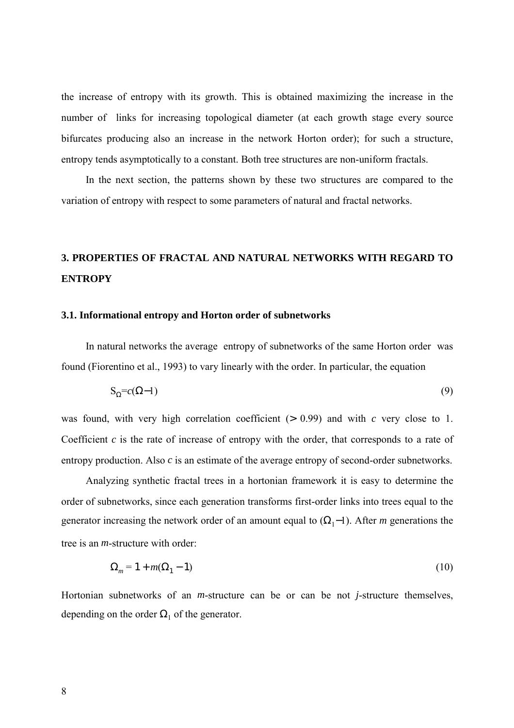the increase of entropy with its growth. This is obtained maximizing the increase in the number of links for increasing topological diameter (at each growth stage every source bifurcates producing also an increase in the network Horton order); for such a structure, entropy tends asymptotically to a constant. Both tree structures are non-uniform fractals.

In the next section, the patterns shown by these two structures are compared to the variation of entropy with respect to some parameters of natural and fractal networks.

# **3. PROPERTIES OF FRACTAL AND NATURAL NETWORKS WITH REGARD TO ENTROPY**

#### **3.1. Informational entropy and Horton order of subnetworks**

In natural networks the average entropy of subnetworks of the same Horton order was found (Fiorentino et al., 1993) to vary linearly with the order. In particular, the equation

$$
S_{\Omega} = c(\Omega - 1) \tag{9}
$$

was found, with very high correlation coefficient (> 0.99) and with *c* very close to 1. Coefficient *c* is the rate of increase of entropy with the order, that corresponds to a rate of entropy production. Also *c* is an estimate of the average entropy of second-order subnetworks.

Analyzing synthetic fractal trees in a hortonian framework it is easy to determine the order of subnetworks, since each generation transforms first-order links into trees equal to the generator increasing the network order of an amount equal to  $(\Omega_1-1)$ . After *m* generations the tree is an *m*-structure with order:

$$
\Omega_m = 1 + m(\Omega_1 - 1) \tag{10}
$$

Hortonian subnetworks of an *m*-structure can be or can be not *j*-structure themselves, depending on the order  $\Omega_1$  of the generator.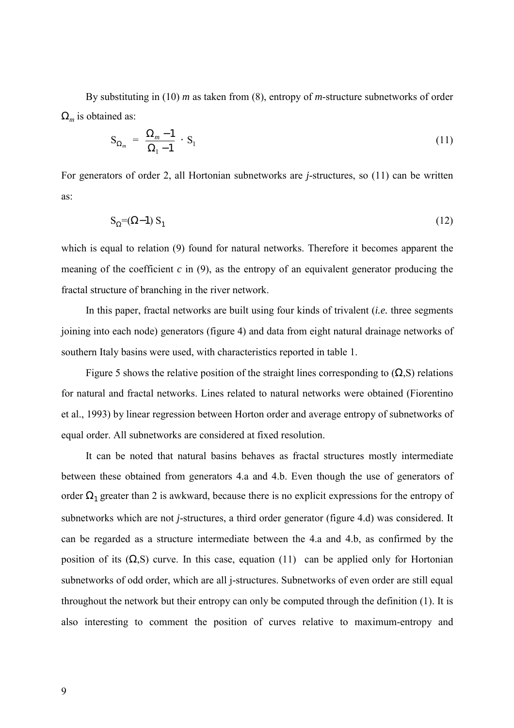By substituting in (10) *m* as taken from (8), entropy of *m*-structure subnetworks of order Ω*m* is obtained as:

$$
S_{\Omega_m} = \frac{\Omega_m - 1}{\Omega_1 - 1} \cdot S_1 \tag{11}
$$

For generators of order 2, all Hortonian subnetworks are *j*-structures, so (11) can be written as:

$$
S_{\Omega} = (\Omega - 1) S_1 \tag{12}
$$

which is equal to relation (9) found for natural networks. Therefore it becomes apparent the meaning of the coefficient  $c$  in  $(9)$ , as the entropy of an equivalent generator producing the fractal structure of branching in the river network.

In this paper, fractal networks are built using four kinds of trivalent (*i.e.* three segments joining into each node) generators (figure 4) and data from eight natural drainage networks of southern Italy basins were used, with characteristics reported in table 1.

Figure 5 shows the relative position of the straight lines corresponding to  $(\Omega, S)$  relations for natural and fractal networks. Lines related to natural networks were obtained (Fiorentino et al., 1993) by linear regression between Horton order and average entropy of subnetworks of equal order. All subnetworks are considered at fixed resolution.

It can be noted that natural basins behaves as fractal structures mostly intermediate between these obtained from generators 4.a and 4.b. Even though the use of generators of order  $\Omega_1$  greater than 2 is awkward, because there is no explicit expressions for the entropy of subnetworks which are not *j*-structures, a third order generator (figure 4.d) was considered. It can be regarded as a structure intermediate between the 4.a and 4.b, as confirmed by the position of its  $(\Omega, S)$  curve. In this case, equation (11) can be applied only for Hortonian subnetworks of odd order, which are all j-structures. Subnetworks of even order are still equal throughout the network but their entropy can only be computed through the definition (1). It is also interesting to comment the position of curves relative to maximum-entropy and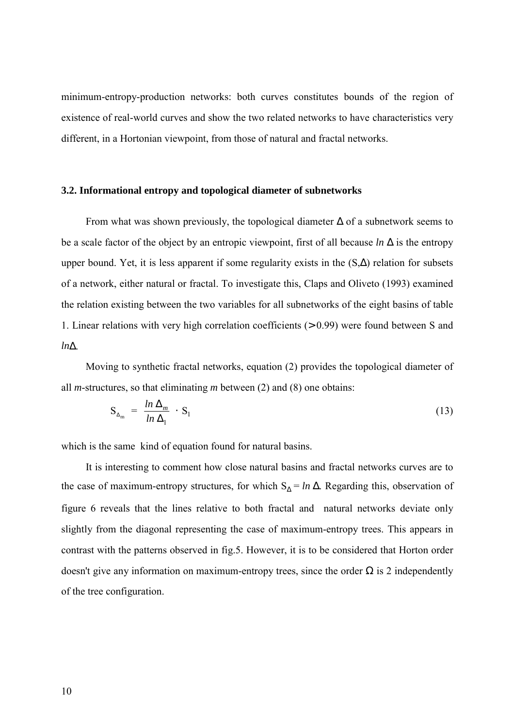minimum-entropy-production networks: both curves constitutes bounds of the region of existence of real-world curves and show the two related networks to have characteristics very different, in a Hortonian viewpoint, from those of natural and fractal networks.

#### **3.2. Informational entropy and topological diameter of subnetworks**

From what was shown previously, the topological diameter  $\Delta$  of a subnetwork seems to be a scale factor of the object by an entropic viewpoint, first of all because *ln* ∆ is the entropy upper bound. Yet, it is less apparent if some regularity exists in the (S,∆) relation for subsets of a network, either natural or fractal. To investigate this, Claps and Oliveto (1993) examined the relation existing between the two variables for all subnetworks of the eight basins of table 1. Linear relations with very high correlation coefficients (> 0.99) were found between S and *ln*∆.

Moving to synthetic fractal networks, equation (2) provides the topological diameter of all *m*-structures, so that eliminating *m* between (2) and (8) one obtains:

$$
S_{\Delta_m} = \frac{\ln \Delta_m}{\ln \Delta_1} \cdot S_1 \tag{13}
$$

which is the same kind of equation found for natural basins.

It is interesting to comment how close natural basins and fractal networks curves are to the case of maximum-entropy structures, for which  $S_\Delta = \ln \Delta$ . Regarding this, observation of figure 6 reveals that the lines relative to both fractal and natural networks deviate only slightly from the diagonal representing the case of maximum-entropy trees. This appears in contrast with the patterns observed in fig.5. However, it is to be considered that Horton order doesn't give any information on maximum-entropy trees, since the order  $\Omega$  is 2 independently of the tree configuration.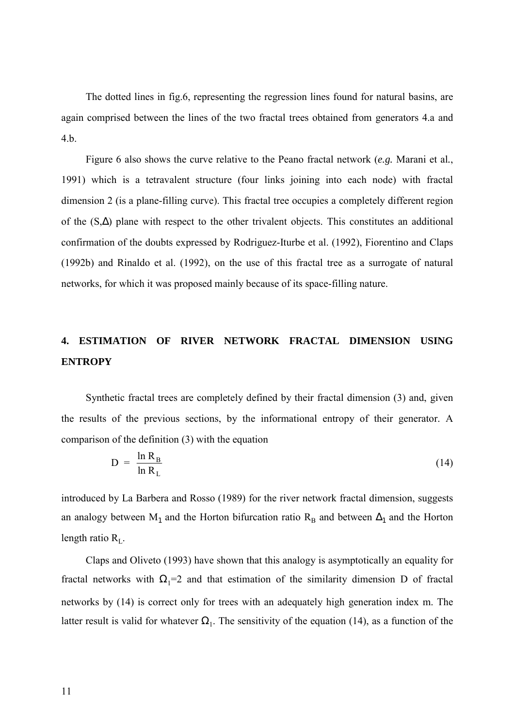The dotted lines in fig.6, representing the regression lines found for natural basins, are again comprised between the lines of the two fractal trees obtained from generators 4.a and 4.b.

Figure 6 also shows the curve relative to the Peano fractal network (*e.g.* Marani et al*.*, 1991) which is a tetravalent structure (four links joining into each node) with fractal dimension 2 (is a plane-filling curve). This fractal tree occupies a completely different region of the (S,∆) plane with respect to the other trivalent objects. This constitutes an additional confirmation of the doubts expressed by Rodriguez-Iturbe et al. (1992), Fiorentino and Claps (1992b) and Rinaldo et al. (1992), on the use of this fractal tree as a surrogate of natural networks, for which it was proposed mainly because of its space-filling nature.

# **4. ESTIMATION OF RIVER NETWORK FRACTAL DIMENSION USING ENTROPY**

Synthetic fractal trees are completely defined by their fractal dimension (3) and, given the results of the previous sections, by the informational entropy of their generator. A comparison of the definition (3) with the equation

$$
D = \frac{\ln R_B}{\ln R_L} \tag{14}
$$

introduced by La Barbera and Rosso (1989) for the river network fractal dimension, suggests an analogy between M<sub>1</sub> and the Horton bifurcation ratio R<sub>B</sub> and between  $\Delta_1$  and the Horton length ratio  $R_{\text{L}}$ .

Claps and Oliveto (1993) have shown that this analogy is asymptotically an equality for fractal networks with  $\Omega_1=2$  and that estimation of the similarity dimension D of fractal networks by (14) is correct only for trees with an adequately high generation index m. The latter result is valid for whatever  $\Omega_1$ . The sensitivity of the equation (14), as a function of the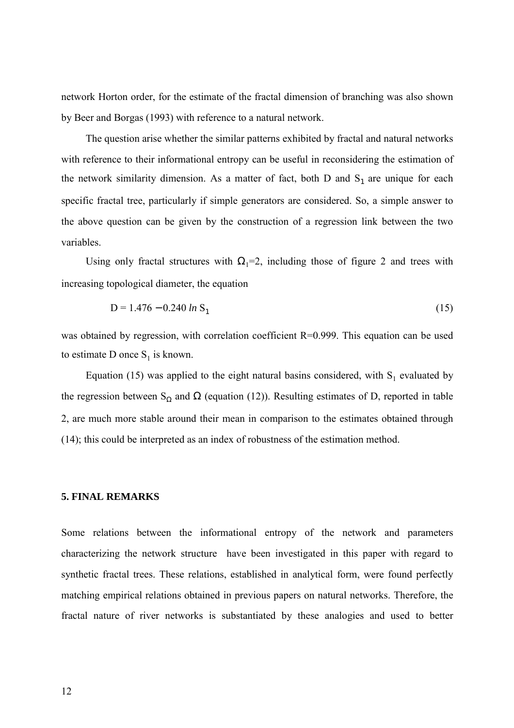network Horton order, for the estimate of the fractal dimension of branching was also shown by Beer and Borgas (1993) with reference to a natural network.

The question arise whether the similar patterns exhibited by fractal and natural networks with reference to their informational entropy can be useful in reconsidering the estimation of the network similarity dimension. As a matter of fact, both D and  $S_1$  are unique for each specific fractal tree, particularly if simple generators are considered. So, a simple answer to the above question can be given by the construction of a regression link between the two variables.

Using only fractal structures with  $\Omega_1=2$ , including those of figure 2 and trees with increasing topological diameter, the equation

$$
D = 1.476 - 0.240 \ln S_1 \tag{15}
$$

was obtained by regression, with correlation coefficient R=0.999. This equation can be used to estimate D once  $S_1$  is known.

Equation (15) was applied to the eight natural basins considered, with  $S_1$  evaluated by the regression between  $S_{\Omega}$  and  $\Omega$  (equation (12)). Resulting estimates of D, reported in table 2, are much more stable around their mean in comparison to the estimates obtained through (14); this could be interpreted as an index of robustness of the estimation method.

## **5. FINAL REMARKS**

Some relations between the informational entropy of the network and parameters characterizing the network structure have been investigated in this paper with regard to synthetic fractal trees. These relations, established in analytical form, were found perfectly matching empirical relations obtained in previous papers on natural networks. Therefore, the fractal nature of river networks is substantiated by these analogies and used to better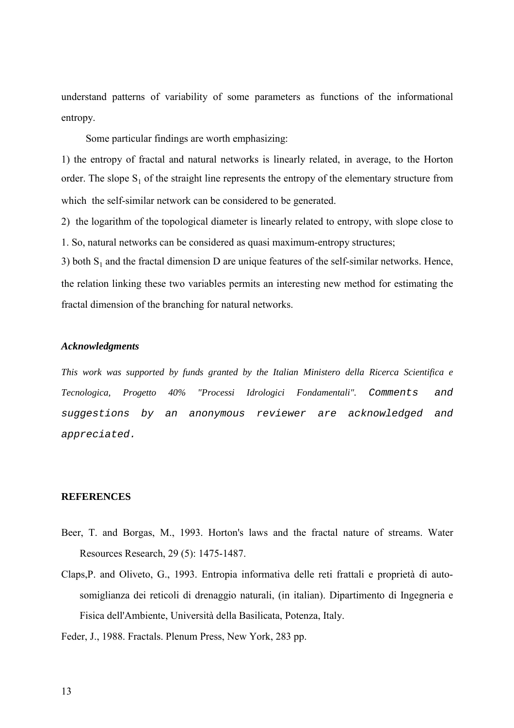understand patterns of variability of some parameters as functions of the informational entropy.

Some particular findings are worth emphasizing:

1) the entropy of fractal and natural networks is linearly related, in average, to the Horton order. The slope  $S_1$  of the straight line represents the entropy of the elementary structure from which the self-similar network can be considered to be generated.

2) the logarithm of the topological diameter is linearly related to entropy, with slope close to 1. So, natural networks can be considered as quasi maximum-entropy structures;

3) both  $S_1$  and the fractal dimension D are unique features of the self-similar networks. Hence, the relation linking these two variables permits an interesting new method for estimating the fractal dimension of the branching for natural networks.

### *Acknowledgments*

*This work was supported by funds granted by the Italian Ministero della Ricerca Scientifica e Tecnologica, Progetto 40% "Processi Idrologici Fondamentali".* Comments and suggestions by an anonymous reviewer are acknowledged and appreciated.

#### **REFERENCES**

- Beer, T. and Borgas, M., 1993. Horton's laws and the fractal nature of streams. Water Resources Research, 29 (5): 1475-1487.
- Claps,P. and Oliveto, G., 1993. Entropia informativa delle reti frattali e proprietà di autosomiglianza dei reticoli di drenaggio naturali, (in italian). Dipartimento di Ingegneria e Fisica dell'Ambiente, Università della Basilicata, Potenza, Italy.
- Feder, J., 1988. Fractals. Plenum Press, New York, 283 pp.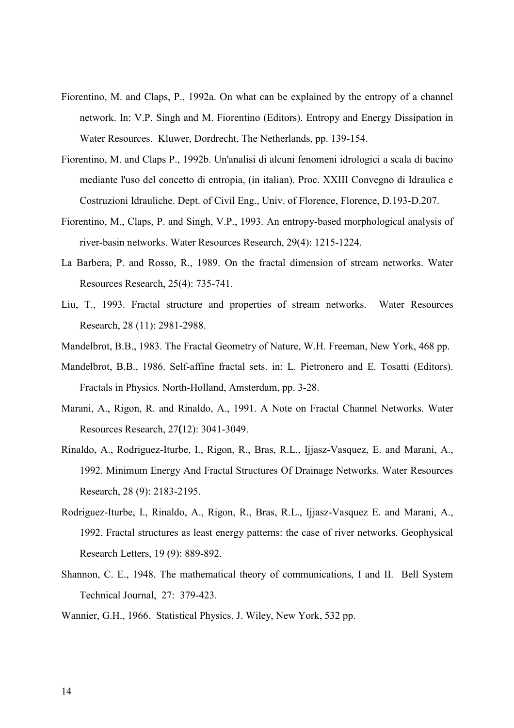- Fiorentino, M. and Claps, P., 1992a. On what can be explained by the entropy of a channel network. In: V.P. Singh and M. Fiorentino (Editors). Entropy and Energy Dissipation in Water Resources. Kluwer, Dordrecht, The Netherlands, pp. 139-154.
- Fiorentino, M. and Claps P., 1992b. Un'analisi di alcuni fenomeni idrologici a scala di bacino mediante l'uso del concetto di entropia, (in italian). Proc. XXIII Convegno di Idraulica e Costruzioni Idrauliche. Dept. of Civil Eng., Univ. of Florence, Florence, D.193-D.207.
- Fiorentino, M., Claps, P. and Singh, V.P., 1993. An entropy-based morphological analysis of river-basin networks. Water Resources Research, 29(4): 1215-1224.
- La Barbera, P. and Rosso, R., 1989. On the fractal dimension of stream networks. Water Resources Research, 25(4): 735-741.
- Liu, T., 1993. Fractal structure and properties of stream networks. Water Resources Research, 28 (11): 2981-2988.
- Mandelbrot, B.B., 1983. The Fractal Geometry of Nature, W.H. Freeman, New York, 468 pp.
- Mandelbrot, B.B., 1986. Self-affine fractal sets. in: L. Pietronero and E. Tosatti (Editors). Fractals in Physics. North-Holland, Amsterdam, pp. 3-28.
- Marani, A., Rigon, R. and Rinaldo, A., 1991. A Note on Fractal Channel Networks. Water Resources Research, 27**(**12): 3041-3049.
- Rinaldo, A., Rodriguez-Iturbe, I., Rigon, R., Bras, R.L., Ijjasz-Vasquez, E. and Marani, A., 1992. Minimum Energy And Fractal Structures Of Drainage Networks. Water Resources Research, 28 (9): 2183-2195.
- Rodriguez-Iturbe, I., Rinaldo, A., Rigon, R., Bras, R.L., Ijjasz-Vasquez E. and Marani, A., 1992. Fractal structures as least energy patterns: the case of river networks. Geophysical Research Letters, 19 (9): 889-892.
- Shannon, C. E., 1948. The mathematical theory of communications, I and II. Bell System Technical Journal, 27: 379-423.
- Wannier, G.H., 1966. Statistical Physics. J. Wiley, New York, 532 pp.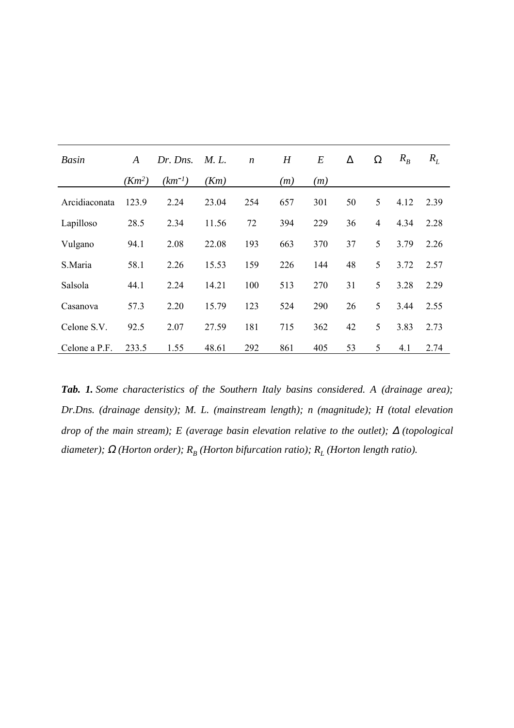| Basin         | A        | Dr. Dns.    | <i>M.L.</i> | $\boldsymbol{n}$ | H   | E   | $\Delta$ | Ω              | $R_{B}$ | $R_L$ |
|---------------|----------|-------------|-------------|------------------|-----|-----|----------|----------------|---------|-------|
|               | $(Km^2)$ | $(km^{-1})$ | (Km)        |                  | (m) | (m) |          |                |         |       |
| Arcidiaconata | 123.9    | 2.24        | 23.04       | 254              | 657 | 301 | 50       | 5              | 4.12    | 2.39  |
| Lapilloso     | 28.5     | 2.34        | 11.56       | 72               | 394 | 229 | 36       | $\overline{4}$ | 4.34    | 2.28  |
| Vulgano       | 94.1     | 2.08        | 22.08       | 193              | 663 | 370 | 37       | 5              | 3.79    | 2.26  |
| S.Maria       | 58.1     | 2.26        | 15.53       | 159              | 226 | 144 | 48       | 5              | 3.72    | 2.57  |
| Salsola       | 44.1     | 2.24        | 14.21       | 100              | 513 | 270 | 31       | 5              | 3.28    | 2.29  |
| Casanova      | 57.3     | 2.20        | 15.79       | 123              | 524 | 290 | 26       | 5              | 3.44    | 2.55  |
| Celone S.V.   | 92.5     | 2.07        | 27.59       | 181              | 715 | 362 | 42       | 5              | 3.83    | 2.73  |
| Celone a P.F. | 233.5    | 1.55        | 48.61       | 292              | 861 | 405 | 53       | 5              | 4.1     | 2.74  |

*Tab. 1. Some characteristics of the Southern Italy basins considered. A (drainage area); Dr.Dns. (drainage density); M. L. (mainstream length); n (magnitude); H (total elevation drop of the main stream); E (average basin elevation relative to the outlet);* ∆ *(topological diameter);*  $\Omega$  (Horton order);  $R_B$  (Horton bifurcation ratio);  $R_L$  (Horton length ratio).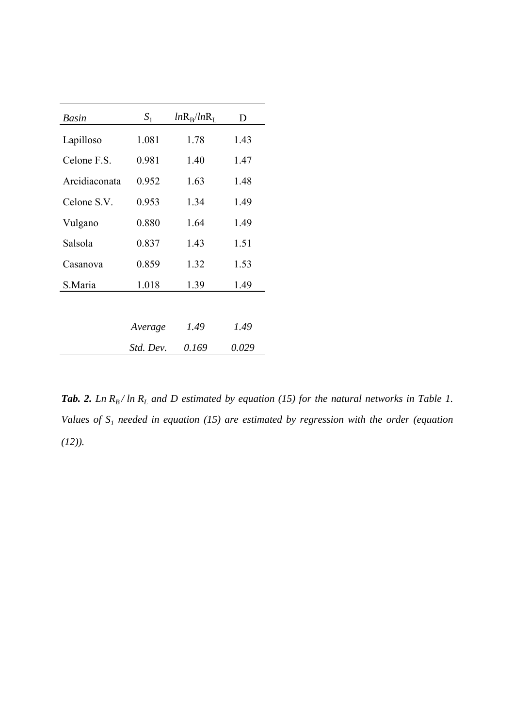| Basin         | $S_1$     | $ln R_R / ln R_L$ | D     |
|---------------|-----------|-------------------|-------|
| Lapilloso     | 1.081     | 1.78              | 1.43  |
| Celone F.S.   | 0.981     | 1.40              | 1.47  |
| Arcidiaconata | 0.952     | 1.63              | 1.48  |
| Celone S.V.   | 0.953     | 1.34              | 1.49  |
| Vulgano       | 0.880     | 1.64              | 1.49  |
| Salsola       | 0.837     | 1.43              | 1.51  |
| Casanova      | 0.859     | 1.32              | 1.53  |
| S.Maria       | 1.018     | 1.39              | 1.49  |
|               |           |                   |       |
|               | Average   | 1.49              | 1.49  |
|               | Std. Dev. | 0.169             | 0.029 |

*Tab. 2. Ln R<sub>B</sub>*/ $ln R_L$  and  $D$  estimated by equation (15) for the natural networks in Table 1. *Values of*  $S_1$  needed in equation (15) are estimated by regression with the order (equation *(12)).*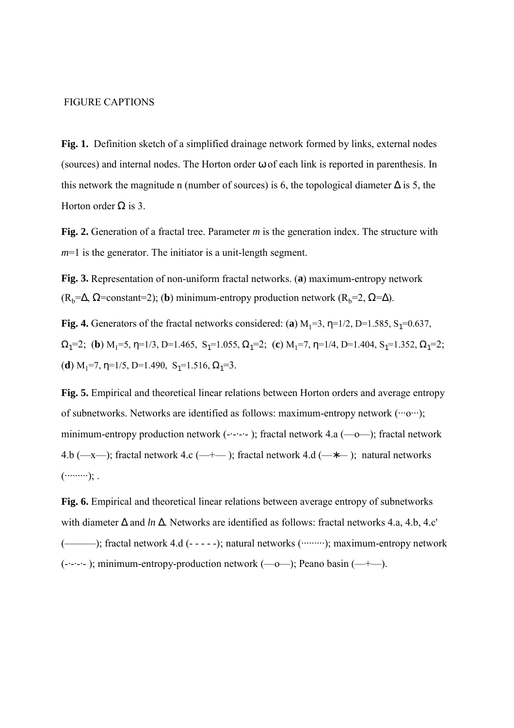#### FIGURE CAPTIONS

**Fig. 1.** Definition sketch of a simplified drainage network formed by links, external nodes (sources) and internal nodes. The Horton order ω of each link is reported in parenthesis. In this network the magnitude n (number of sources) is 6, the topological diameter  $\Delta$  is 5, the Horton order  $Ω$  is 3.

**Fig. 2.** Generation of a fractal tree. Parameter *m* is the generation index. The structure with *m*=1 is the generator. The initiator is a unit-length segment.

**Fig. 3.** Representation of non-uniform fractal networks. (**a**) maximum-entropy network  $(R_b=\Delta, \Omega$ =constant=2); (**b**) minimum-entropy production network  $(R_b=2, \Omega=\Delta)$ .

**Fig. 4.** Generators of the fractal networks considered: (a)  $M_1=3$ ,  $\eta=1/2$ ,  $D=1.585$ ,  $S_1=0.637$ ,  $\Omega_1=2$ ; **(b)** M<sub>1</sub>=5, η=1/3, D=1.465, S<sub>1</sub>=1.055,  $\Omega_1=2$ ; **(c)** M<sub>1</sub>=7, η=1/4, D=1.404, S<sub>1</sub>=1.352,  $\Omega_1=2$ ; (**d**)  $M_1$ =7,  $\eta$ =1/5, D=1.490, S<sub>1</sub>=1.516,  $\Omega_1$ =3.

**Fig. 5.** Empirical and theoretical linear relations between Horton orders and average entropy of subnetworks. Networks are identified as follows: maximum-entropy network (∙∙∙o∙∙∙); minimum-entropy production network (-∙-∙-∙- ); fractal network 4.a (—o—); fractal network 4.b (—x—); fractal network 4.c (—+—); fractal network 4.d (—\*—); natural networks (∙∙∙∙∙∙∙∙∙); .

**Fig. 6.** Empirical and theoretical linear relations between average entropy of subnetworks with diameter ∆ and *ln* ∆. Networks are identified as follows: fractal networks 4.a, 4.b, 4.c' (←←→→); fractal network 4.d (- - - - -); natural networks (⋯⋯⋯→); maximum-entropy network (-∙-∙-∙- ); minimum-entropy-production network (—o—); Peano basin (—+—).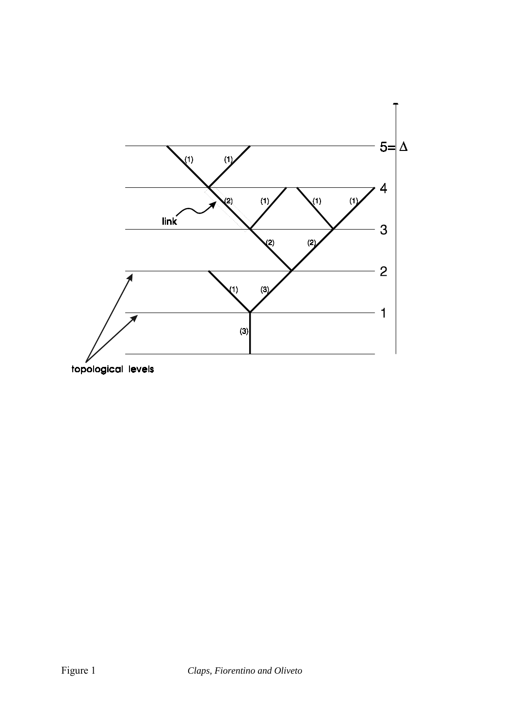

topological levels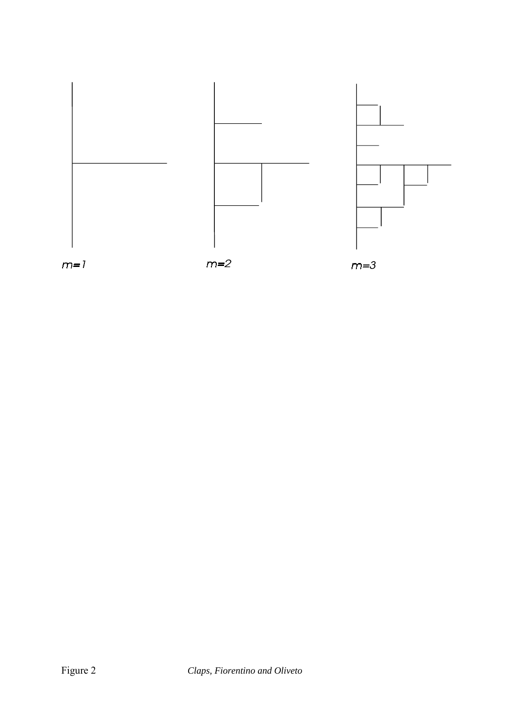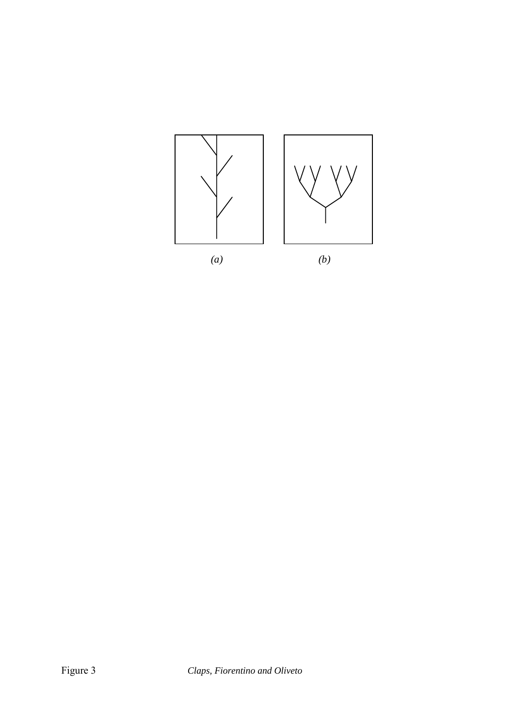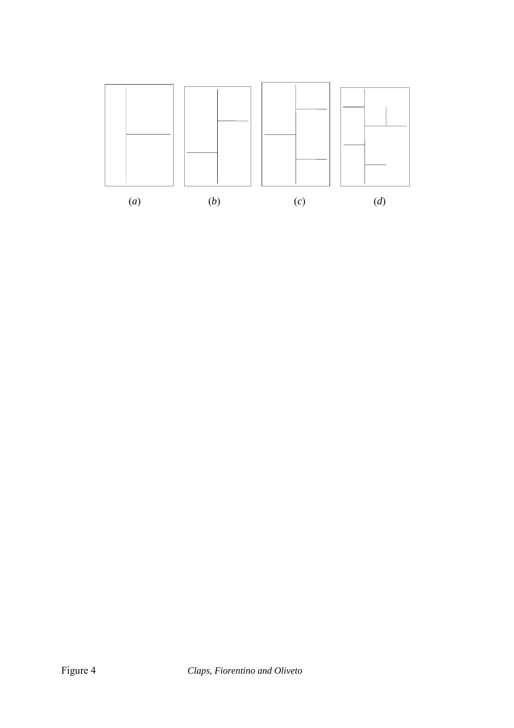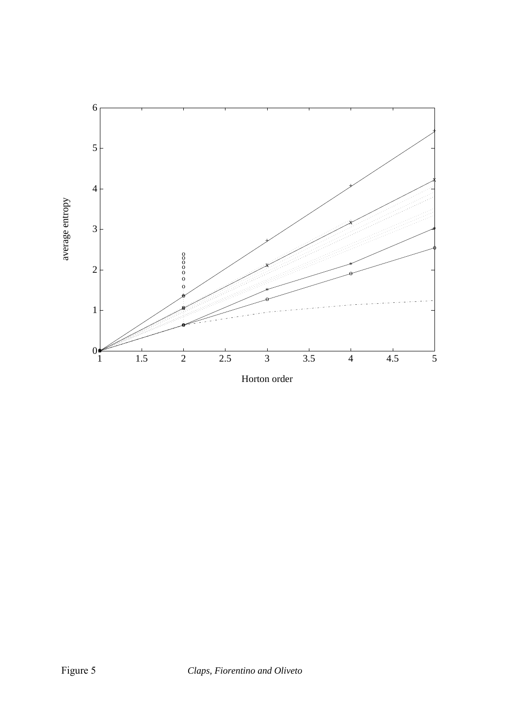

Horton order